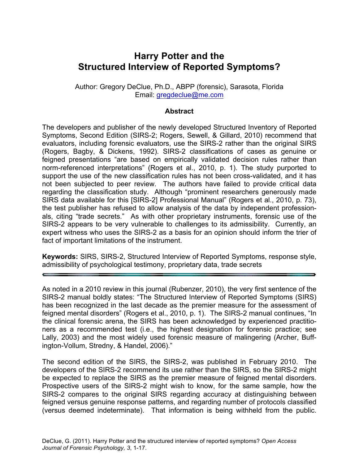# **Harry Potter and the Structured Interview of Reported Symptoms?**

Author: Gregory DeClue, Ph.D., ABPP (forensic), Sarasota, Florida Email: gregdeclue@me.com

## **Abstract**

The developers and publisher of the newly developed Structured Inventory of Reported Symptoms, Second Edition (SIRS-2; Rogers, Sewell, & Gillard, 2010) recommend that evaluators, including forensic evaluators, use the SIRS-2 rather than the original SIRS (Rogers, Bagby, & Dickens, 1992). SIRS-2 classifications of cases as genuine or feigned presentations "are based on empirically validated decision rules rather than norm-referenced interpretations" (Rogers et al., 2010, p. 1). The study purported to support the use of the new classification rules has not been cross-validated, and it has not been subjected to peer review. The authors have failed to provide critical data regarding the classification study. Although "prominent researchers generously made SIRS data available for this [SIRS-2] Professional Manual" (Rogers et al., 2010, p. 73), the test publisher has refused to allow analysis of the data by independent professionals, citing "trade secrets." As with other proprietary instruments, forensic use of the SIRS-2 appears to be very vulnerable to challenges to its admissibility. Currently, an expert witness who uses the SIRS-2 as a basis for an opinion should inform the trier of fact of important limitations of the instrument.

**Keywords:** SIRS, SIRS-2, Structured Interview of Reported Symptoms, response style, admissibility of psychological testimony, proprietary data, trade secrets

As noted in a 2010 review in this journal (Rubenzer, 2010), the very first sentence of the SIRS-2 manual boldly states: "The Structured Interview of Reported Symptoms (SIRS) has been recognized in the last decade as the premier measure for the assessment of feigned mental disorders" (Rogers et al., 2010, p. 1). The SIRS-2 manual continues, "In the clinical forensic arena, the SIRS has been acknowledged by experienced practitioners as a recommended test (i.e., the highest designation for forensic practice; see Lally, 2003) and the most widely used forensic measure of malingering (Archer, Buffington-Vollum, Stredny, & Handel, 2006)."

The second edition of the SIRS, the SIRS-2, was published in February 2010. The developers of the SIRS-2 recommend its use rather than the SIRS, so the SIRS-2 might be expected to replace the SIRS as the premier measure of feigned mental disorders. Prospective users of the SIRS-2 might wish to know, for the same sample, how the SIRS-2 compares to the original SIRS regarding accuracy at distinguishing between feigned versus genuine response patterns, and regarding number of protocols classified (versus deemed indeterminate). That information is being withheld from the public.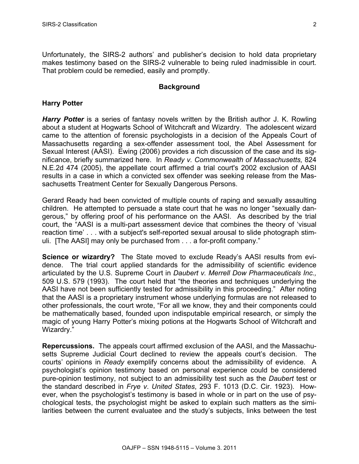Unfortunately, the SIRS-2 authors' and publisher's decision to hold data proprietary makes testimony based on the SIRS-2 vulnerable to being ruled inadmissible in court. That problem could be remedied, easily and promptly.

#### **Background**

#### **Harry Potter**

*Harry Potter* is a series of fantasy novels written by the British author J. K. Rowling about a student at Hogwarts School of Witchcraft and Wizardry. The adolescent wizard came to the attention of forensic psychologists in a decision of the Appeals Court of Massachusetts regarding a sex-offender assessment tool, the Abel Assessment for Sexual Interest (AASI). Ewing (2006) provides a rich discussion of the case and its significance, briefly summarized here. In *Ready v. Commonwealth of Massachusetts,* 824 N.E.2d 474 (2005), the appellate court affirmed a trial court's 2002 exclusion of AASI results in a case in which a convicted sex offender was seeking release from the Massachusetts Treatment Center for Sexually Dangerous Persons.

Gerard Ready had been convicted of multiple counts of raping and sexually assaulting children. He attempted to persuade a state court that he was no longer "sexually dangerous," by offering proof of his performance on the AASI. As described by the trial court, the "AASI is a multi-part assessment device that combines the theory of 'visual reaction time' . . . with a subject's self-reported sexual arousal to slide photograph stimuli. [The AASI] may only be purchased from . . . a for-profit company."

**Science or wizardry?** The State moved to exclude Ready's AASI results from evidence. The trial court applied standards for the admissibility of scientific evidence articulated by the U.S. Supreme Court in *Daubert v. Merrell Dow Pharmaceuticals Inc.,* 509 U.S. 579 (1993). The court held that "the theories and techniques underlying the AASI have not been sufficiently tested for admissibility in this proceeding." After noting that the AASI is a proprietary instrument whose underlying formulas are not released to other professionals, the court wrote, "For all we know, they and their components could be mathematically based, founded upon indisputable empirical research, or simply the magic of young Harry Potter's mixing potions at the Hogwarts School of Witchcraft and Wizardry."

**Repercussions.** The appeals court affirmed exclusion of the AASI, and the Massachusetts Supreme Judicial Court declined to review the appeals court's decision. The courts' opinions in *Ready* exemplify concerns about the admissibility of evidence. A psychologist's opinion testimony based on personal experience could be considered pure-opinion testimony, not subject to an admissibility test such as the *Daubert* test or the standard described in *Frye v*. *United States*, 293 F. 1013 (D.C. Cir. 1923). However, when the psychologist's testimony is based in whole or in part on the use of psychological tests, the psychologist might be asked to explain such matters as the similarities between the current evaluatee and the study's subjects, links between the test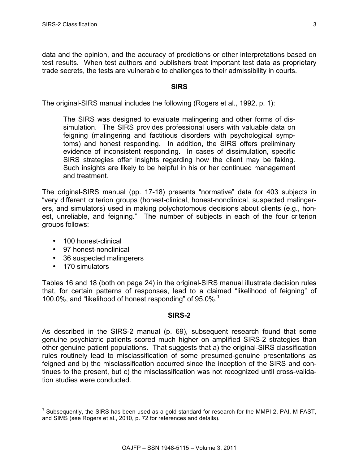data and the opinion, and the accuracy of predictions or other interpretations based on test results. When test authors and publishers treat important test data as proprietary trade secrets, the tests are vulnerable to challenges to their admissibility in courts.

## **SIRS**

The original-SIRS manual includes the following (Rogers et al., 1992, p. 1):

The SIRS was designed to evaluate malingering and other forms of dissimulation. The SIRS provides professional users with valuable data on feigning (malingering and factitious disorders with psychological symptoms) and honest responding. In addition, the SIRS offers preliminary evidence of inconsistent responding. In cases of dissimulation, specific SIRS strategies offer insights regarding how the client may be faking. Such insights are likely to be helpful in his or her continued management and treatment.

The original-SIRS manual (pp. 17-18) presents "normative" data for 403 subjects in "very different criterion groups (honest-clinical, honest-nonclinical, suspected malingerers, and simulators) used in making polychotomous decisions about clients (e.g., honest, unreliable, and feigning." The number of subjects in each of the four criterion groups follows:

- 100 honest-clinical
- 97 honest-nonclinical
- 36 suspected malingerers
- 170 simulators

Tables 16 and 18 (both on page 24) in the original-SIRS manual illustrate decision rules that, for certain patterns of responses, lead to a claimed "likelihood of feigning" of 100.0%, and "likelihood of honest responding" of 95.0%.<sup>1</sup>

#### **SIRS-2**

As described in the SIRS-2 manual (p. 69), subsequent research found that some genuine psychiatric patients scored much higher on amplified SIRS-2 strategies than other genuine patient populations. That suggests that a) the original-SIRS classification rules routinely lead to misclassification of some presumed-genuine presentations as feigned and b) the misclassification occurred since the inception of the SIRS and continues to the present, but c) the misclassification was not recognized until cross-validation studies were conducted.

 $<sup>1</sup>$  Subsequently, the SIRS has been used as a gold standard for research for the MMPI-2, PAI, M-FAST,</sup> and SIMS (see Rogers et al., 2010, p. 72 for references and details).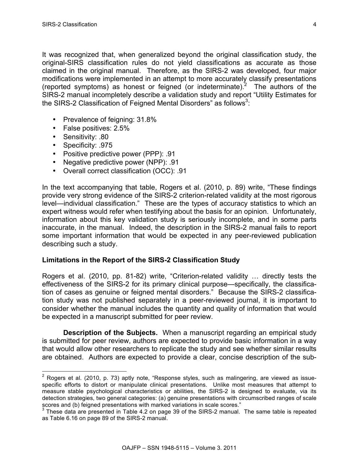It was recognized that, when generalized beyond the original classification study, the original-SIRS classification rules do not yield classifications as accurate as those claimed in the original manual. Therefore, as the SIRS-2 was developed, four major modifications were implemented in an attempt to more accurately classify presentations (reported symptoms) as honest or feigned (or indeterminate).<sup>2</sup> The authors of the SIRS-2 manual incompletely describe a validation study and report "Utility Estimates for the SIRS-2 Classification of Feigned Mental Disorders" as follows<sup>3</sup>:

- Prevalence of feigning: 31.8%
- False positives: 2.5%
- Sensitivity: .80
- Specificity: .975
- Positive predictive power (PPP): .91
- Negative predictive power (NPP): .91
- Overall correct classification (OCC): .91

In the text accompanying that table, Rogers et al. (2010, p. 89) write, "These findings provide very strong evidence of the SIRS-2 criterion-related validity at the most rigorous level—individual classification." These are the types of accuracy statistics to which an expert witness would refer when testifying about the basis for an opinion. Unfortunately, information about this key validation study is seriously incomplete, and in some parts inaccurate, in the manual. Indeed, the description in the SIRS-2 manual fails to report some important information that would be expected in any peer-reviewed publication describing such a study.

## **Limitations in the Report of the SIRS-2 Classification Study**

Rogers et al. (2010, pp. 81-82) write, "Criterion-related validity … directly tests the effectiveness of the SIRS-2 for its primary clinical purpose—specifically, the classification of cases as genuine or feigned mental disorders." Because the SIRS-2 classification study was not published separately in a peer-reviewed journal, it is important to consider whether the manual includes the quantity and quality of information that would be expected in a manuscript submitted for peer review.

**Description of the Subjects.** When a manuscript regarding an empirical study is submitted for peer review, authors are expected to provide basic information in a way that would allow other researchers to replicate the study and see whether similar results are obtained. Authors are expected to provide a clear, concise description of the sub-

 $2$  Rogers et al. (2010, p. 73) aptly note, "Response styles, such as malingering, are viewed as issuespecific efforts to distort or manipulate clinical presentations. Unlike most measures that attempt to measure stable psychological characteristics or abilities, the SIRS-2 is designed to evaluate, via its detection strategies, two general categories: (a) genuine presentations with circumscribed ranges of scale scores and (b) feigned presentations with marked variations in scale scores."

<sup>&</sup>lt;sup>3</sup> These data are presented in Table 4.2 on page 39 of the SIRS-2 manual. The same table is repeated as Table 6.16 on page 89 of the SIRS-2 manual.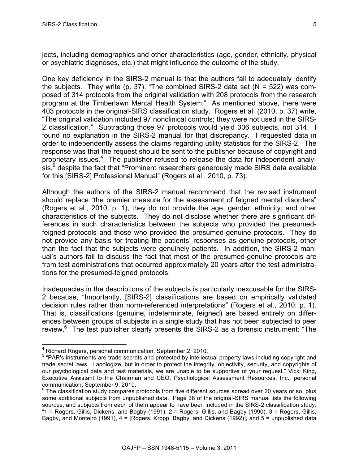jects, including demographics and other characteristics (age, gender, ethnicity, physical or psychiatric diagnoses, etc.) that might influence the outcome of the study.

One key deficiency in the SIRS-2 manual is that the authors fail to adequately identify the subjects. They write (p. 37), "The combined SIRS-2 data set ( $N = 522$ ) was composed of 314 protocols from the original validation with 208 protocols from the research program at the Timberlawn Mental Health System." As mentioned above, there were 403 protocols in the original-SIRS classification study. Rogers et al. (2010, p. 37) write, "The original validation included 97 nonclinical controls; they were not used in the SIRS-2 classification." Subtracting those 97 protocols would yield 306 subjects, not 314. I found no explanation in the SIRS-2 manual for that discrepancy. I requested data in order to independently assess the claims regarding utility statistics for the SIRS-2. The response was that the request should be sent to the publisher because of copyright and proprietary issues.<sup>4</sup> The publisher refused to release the data for independent analysis,<sup>5</sup> despite the fact that "Prominent researchers generously made SIRS data available for this [SIRS-2] Professional Manual" (Rogers et al., 2010, p. 73).

Although the authors of the SIRS-2 manual recommend that the revised instrument should replace "the premier measure for the assessment of feigned mental disorders" (Rogers et al., 2010, p. 1), they do not provide the age, gender, ethnicity, and other characteristics of the subjects. They do not disclose whether there are significant differences in such characteristics between the subjects who provided the presumedfeigned protocols and those who provided the presumed-genuine protocols. They do not provide any basis for treating the patients' responses as genuine protocols, other than the fact that the subjects were genuinely patients. In addition, the SIRS-2 manual's authors fail to discuss the fact that most of the presumed-genuine protocols are from test administrations that occurred approximately 20 years after the test administrations for the presumed-feigned protocols.

Inadequacies in the descriptions of the subjects is particularly inexcusable for the SIRS-2 because, "Importantly, [SIRS-2] classifications are based on empirically validated decision rules rather than norm-referenced interpretations" (Rogers et al., 2010, p. 1). That is, classifications (genuine, indeterminate, feigned) are based entirely on differences between groups of subjects in a single study that has not been subjected to peer review.<sup>6</sup> The test publisher clearly presents the SIRS-2 as a forensic instrument: "The

 <sup>4</sup> Richard Rogers, personal communication, September 2, 2010.

<sup>&</sup>lt;sup>5</sup> "PAR's instruments are trade secrets and protected by intellectual property laws including copyright and trade secret laws. I apologize, but in order to protect the integrity, objectivity, security, and copyrights of our psychological data and test materials, we are unable to be supportive of your request." Vicki King, Executive Assistant to the Chairman and CEO, Psychological Assessment Resources, Inc., personal communication, September 9, 2010.

 $6$  The classification study compares protocols from five different sources spread over 20 years or so, plus some additional subjects from unpublished data. Page 38 of the original-SIRS manual lists the following sources, and subjects from each of them appear to have been included in the SIRS-2 classification study: "1 = Rogers, Gillis, Dickens, and Bagby (1991), 2 = Rogers, Gillis, and Bagby (1990), 3 = Rogers, Gillis, Bagby, and Monteiro (1991), 4 = [Rogers, Kropp, Bagby, and Dickens (1992)], and 5 = unpublished data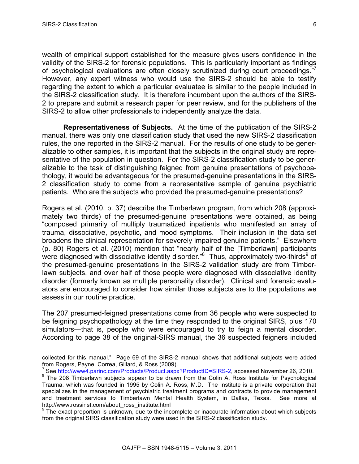1

wealth of empirical support established for the measure gives users confidence in the validity of the SIRS-2 for forensic populations. This is particularly important as findings of psychological evaluations are often closely scrutinized during court proceedings."<sup>7</sup> However, any expert witness who would use the SIRS-2 should be able to testify regarding the extent to which a particular evaluatee is similar to the people included in the SIRS-2 classification study. It is therefore incumbent upon the authors of the SIRS-2 to prepare and submit a research paper for peer review, and for the publishers of the SIRS-2 to allow other professionals to independently analyze the data.

**Representativeness of Subjects.** At the time of the publication of the SIRS-2 manual, there was only one classification study that used the new SIRS-2 classification rules, the one reported in the SIRS-2 manual. For the results of one study to be generalizable to other samples, it is important that the subjects in the original study are representative of the population in question. For the SIRS-2 classification study to be generalizable to the task of distinguishing feigned from genuine presentations of psychopathology, it would be advantageous for the presumed-genuine presentations in the SIRS-2 classification study to come from a representative sample of genuine psychiatric patients. Who are the subjects who provided the presumed-genuine presentations?

Rogers et al. (2010, p. 37) describe the Timberlawn program, from which 208 (approximately two thirds) of the presumed-genuine presentations were obtained, as being "composed primarily of multiply traumatized inpatients who manifested an array of trauma, dissociative, psychotic, and mood symptoms. Their inclusion in the data set broadens the clinical representation for severely impaired genuine patients." Elsewhere (p. 80) Rogers et al. (2010) mention that "nearly half of the [Timberlawn] participants were diagnosed with dissociative identity disorder.<sup>"8</sup> Thus, approximately two-thirds<sup>9</sup> of the presumed-genuine presentations in the SIRS-2 validation study are from Timberlawn subjects, and over half of those people were diagnosed with dissociative identity disorder (formerly known as multiple personality disorder). Clinical and forensic evaluators are encouraged to consider how similar those subjects are to the populations we assess in our routine practice.

The 207 presumed-feigned presentations come from 36 people who were suspected to be feigning psychopathology at the time they responded to the original SIRS, plus 170 simulators—that is, people who were encouraged to try to feign a mental disorder. According to page 38 of the original-SIRS manual, the 36 suspected feigners included

collected for this manual." Page 69 of the SIRS-2 manual shows that additional subjects were added from Rogers, Payne, Correa, Gillard, & Ross (2009).

 $^7$  See http://www4.parinc.com/Products/Product.aspx?ProductID=SIRS-2, accessed November 26, 2010.

<sup>&</sup>lt;sup>8</sup> The 208 Timberlawn subjects appear to be drawn from the Colin A. Ross Institute for Psychological Trauma, which was founded in 1995 by Colin A. Ross, M.D. The Institute is a private corporation that specializes in the management of psychiatric treatment programs and contracts to provide management and treatment services to Timberlawn Mental Health System, in Dallas, Texas. See more at http://www.rossinst.com/about\_ross\_institute.html

 $9$  The exact proportion is unknown, due to the incomplete or inaccurate information about which subjects from the original SIRS classification study were used in the SIRS-2 classification study.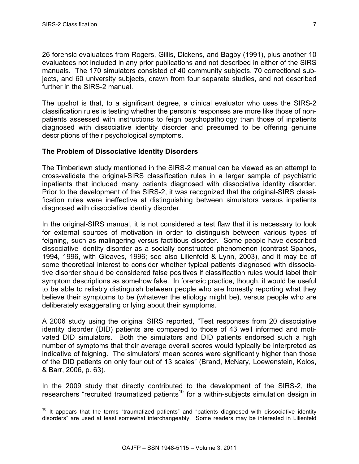26 forensic evaluatees from Rogers, Gillis, Dickens, and Bagby (1991), plus another 10 evaluatees not included in any prior publications and not described in either of the SIRS manuals. The 170 simulators consisted of 40 community subjects, 70 correctional subjects, and 60 university subjects, drawn from four separate studies, and not described further in the SIRS-2 manual.

The upshot is that, to a significant degree, a clinical evaluator who uses the SIRS-2 classification rules is testing whether the person's responses are more like those of nonpatients assessed with instructions to feign psychopathology than those of inpatients diagnosed with dissociative identity disorder and presumed to be offering genuine descriptions of their psychological symptoms.

# **The Problem of Dissociative Identity Disorders**

The Timberlawn study mentioned in the SIRS-2 manual can be viewed as an attempt to cross-validate the original-SIRS classification rules in a larger sample of psychiatric inpatients that included many patients diagnosed with dissociative identity disorder. Prior to the development of the SIRS-2, it was recognized that the original-SIRS classification rules were ineffective at distinguishing between simulators versus inpatients diagnosed with dissociative identity disorder.

In the original-SIRS manual, it is not considered a test flaw that it is necessary to look for external sources of motivation in order to distinguish between various types of feigning, such as malingering versus factitious disorder. Some people have described dissociative identity disorder as a socially constructed phenomenon (contrast Spanos, 1994, 1996, with Gleaves, 1996; see also Lilienfeld & Lynn, 2003), and it may be of some theoretical interest to consider whether typical patients diagnosed with dissociative disorder should be considered false positives if classification rules would label their symptom descriptions as somehow fake. In forensic practice, though, it would be useful to be able to reliably distinguish between people who are honestly reporting what they believe their symptoms to be (whatever the etiology might be), versus people who are deliberately exaggerating or lying about their symptoms.

A 2006 study using the original SIRS reported, "Test responses from 20 dissociative identity disorder (DID) patients are compared to those of 43 well informed and motivated DID simulators. Both the simulators and DID patients endorsed such a high number of symptoms that their average overall scores would typically be interpreted as indicative of feigning. The simulators' mean scores were significantly higher than those of the DID patients on only four out of 13 scales" (Brand, McNary, Loewenstein, Kolos, & Barr, 2006, p. 63).

In the 2009 study that directly contributed to the development of the SIRS-2, the researchers "recruited traumatized patients<sup>10</sup> for a within-subjects simulation design in

 $10$  It appears that the terms "traumatized patients" and "patients diagnosed with dissociative identity disorders" are used at least somewhat interchangeably. Some readers may be interested in Lilienfeld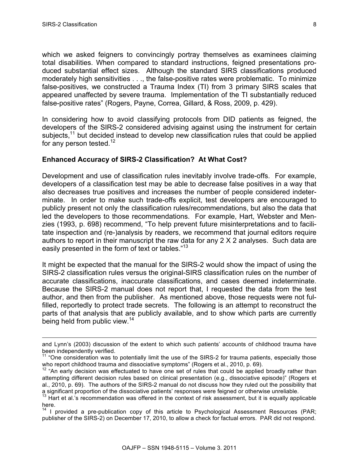which we asked feigners to convincingly portray themselves as examinees claiming total disabilities. When compared to standard instructions, feigned presentations produced substantial effect sizes. Although the standard SIRS classifications produced moderately high sensitivities . . ., the false-positive rates were problematic. To minimize false-positives, we constructed a Trauma Index (TI) from 3 primary SIRS scales that appeared unaffected by severe trauma. Implementation of the TI substantially reduced false-positive rates" (Rogers, Payne, Correa, Gillard, & Ross, 2009, p. 429).

In considering how to avoid classifying protocols from DID patients as feigned, the developers of the SIRS-2 considered advising against using the instrument for certain subjects, $11$  but decided instead to develop new classification rules that could be applied for any person tested. $12$ 

#### **Enhanced Accuracy of SIRS-2 Classification? At What Cost?**

Development and use of classification rules inevitably involve trade-offs. For example, developers of a classification test may be able to decrease false positives in a way that also decreases true positives and increases the number of people considered indeterminate. In order to make such trade-offs explicit, test developers are encouraged to publicly present not only the classification rules/recommendations, but also the data that led the developers to those recommendations. For example, Hart, Webster and Menzies (1993, p. 698) recommend, "To help prevent future misinterpretations and to facilitate inspection and (re-)analysis by readers, we recommend that journal editors require authors to report in their manuscript the raw data for any 2 X 2 analyses. Such data are easily presented in the form of text or tables."<sup>13</sup>

It might be expected that the manual for the SIRS-2 would show the impact of using the SIRS-2 classification rules versus the original-SIRS classification rules on the number of accurate classifications, inaccurate classifications, and cases deemed indeterminate. Because the SIRS-2 manual does not report that, I requested the data from the test author, and then from the publisher. As mentioned above, those requests were not fulfilled, reportedly to protect trade secrets. The following is an attempt to reconstruct the parts of that analysis that are publicly available, and to show which parts are currently being held from public view.<sup>14</sup>

and Lynn's (2003) discussion of the extent to which such patients' accounts of childhood trauma have been independently verified.

<sup>&</sup>lt;sup>11</sup> "One consideration was to potentially limit the use of the SIRS-2 for trauma patients, especially those who report childhood trauma and dissociative symptoms" (Rogers et al., 2010, p. 69).

 $12$  "An early decision was effectuated to have one set of rules that could be applied broadly rather than attempting different decision rules based on clinical presentation (e.g., dissociative episode)" (Rogers et al., 2010, p. 69). The authors of the SIRS-2 manual do not discuss how they ruled out the possibility that a significant proportion of the dissociative patients' responses were feigned or otherwise unreliable.

<sup>&</sup>lt;sup>13</sup> Hart et al.'s recommendation was offered in the context of risk assessment, but it is equally applicable here.

<sup>&</sup>lt;sup>14</sup> I provided a pre-publication copy of this article to Psychological Assessment Resources (PAR; publisher of the SIRS-2) on December 17, 2010, to allow a check for factual errors. PAR did not respond.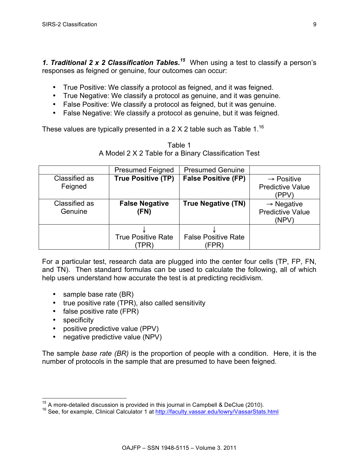*1. Traditional 2 x 2 Classification Tables. <sup>15</sup>* When using a test to classify a person's responses as feigned or genuine, four outcomes can occur:

- True Positive: We classify a protocol as feigned, and it was feigned.
- True Negative: We classify a protocol as genuine, and it was genuine.
- False Positive: We classify a protocol as feigned, but it was genuine.
- False Negative: We classify a protocol as genuine, but it was feigned.

These values are typically presented in a 2 X 2 table such as Table  $1^{16}$ 

| Table 1                                              |  |
|------------------------------------------------------|--|
| A Model 2 X 2 Table for a Binary Classification Test |  |

|               | <b>Presumed Feigned</b>   | <b>Presumed Genuine</b>    |                         |
|---------------|---------------------------|----------------------------|-------------------------|
| Classified as | <b>True Positive (TP)</b> | <b>False Positive (FP)</b> | $\rightarrow$ Positive  |
| Feigned       |                           |                            | <b>Predictive Value</b> |
|               |                           |                            | (PPV)                   |
| Classified as | <b>False Negative</b>     | <b>True Negative (TN)</b>  | $\rightarrow$ Negative  |
| Genuine       | (FN)                      |                            | <b>Predictive Value</b> |
|               |                           |                            | (NPV)                   |
|               |                           |                            |                         |
|               | <b>True Positive Rate</b> | <b>False Positive Rate</b> |                         |
|               | TPR                       | FPR)                       |                         |

For a particular test, research data are plugged into the center four cells (TP, FP, FN, and TN). Then standard formulas can be used to calculate the following, all of which help users understand how accurate the test is at predicting recidivism.

- sample base rate (BR)
- true positive rate (TPR), also called sensitivity
- false positive rate (FPR)
- specificity
- positive predictive value (PPV)
- negative predictive value (NPV)

The sample *base rate (BR)* is the proportion of people with a condition. Here, it is the number of protocols in the sample that are presumed to have been feigned.

<sup>&</sup>lt;sup>15</sup> A more-detailed discussion is provided in this journal in Campbell & DeClue (2010).<br><sup>16</sup> See, for example, Clinical Calculator 1 at http://faculty.vassar.edu/lowry/VassarStats.html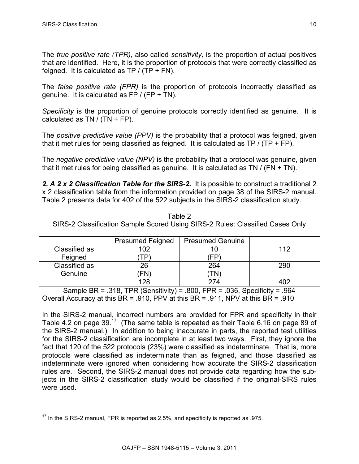The *true positive rate (TPR),* also called *sensitivity,* is the proportion of actual positives that are identified. Here, it is the proportion of protocols that were correctly classified as feigned. It is calculated as  $TP / (TP + FN)$ .

The *false positive rate (FPR)* is the proportion of protocols incorrectly classified as genuine. It is calculated as  $FP / (FP + TN)$ .

*Specificity* is the proportion of genuine protocols correctly identified as genuine. It is calculated as TN /  $(TN + FP)$ .

The *positive predictive value (PPV)* is the probability that a protocol was feigned, given that it met rules for being classified as feigned. It is calculated as  $TP / (TP + FP)$ .

The *negative predictive value (NPV)* is the probability that a protocol was genuine, given that it met rules for being classified as genuine. It is calculated as TN / (FN + TN).

*2. A 2 x 2 Classification Table for the SIRS-2.* It is possible to construct a traditional 2 x 2 classification table from the information provided on page 38 of the SIRS-2 manual. Table 2 presents data for 402 of the 522 subjects in the SIRS-2 classification study.

Table 2 SIRS-2 Classification Sample Scored Using SIRS-2 Rules: Classified Cases Only

|               | <b>Presumed Feigned</b> | <b>Presumed Genuine</b> |     |
|---------------|-------------------------|-------------------------|-----|
| Classified as | 102                     |                         | 112 |
| Feigned       | ГP                      | FP                      |     |
| Classified as | 26                      | 264                     | 290 |
| Genuine       | FN)                     | I N                     |     |
|               | 128                     | $27\Delta$              |     |

Sample BR = .318, TPR (Sensitivity) = .800, FPR = .036, Specificity = .964 Overall Accuracy at this BR = .910, PPV at this BR = .911, NPV at this BR = .910

In the SIRS-2 manual, incorrect numbers are provided for FPR and specificity in their Table 4.2 on page  $39<sup>17</sup>$  (The same table is repeated as their Table 6.16 on page 89 of the SIRS-2 manual.) In addition to being inaccurate in parts, the reported test utilities for the SIRS-2 classification are incomplete in at least two ways. First, they ignore the fact that 120 of the 522 protocols (23%) were classified as indeterminate. That is, more protocols were classified as indeterminate than as feigned, and those classified as indeterminate were ignored when considering how accurate the SIRS-2 classification rules are. Second, the SIRS-2 manual does not provide data regarding how the subjects in the SIRS-2 classification study would be classified if the original-SIRS rules were used.

 $17$  In the SIRS-2 manual, FPR is reported as 2.5%, and specificity is reported as .975.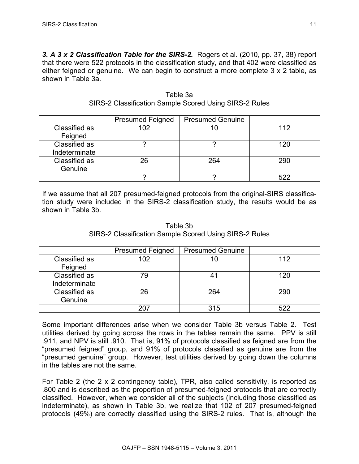*3. A 3 x 2 Classification Table for the SIRS-2.* Rogers et al. (2010, pp. 37, 38) report that there were 522 protocols in the classification study, and that 402 were classified as either feigned or genuine. We can begin to construct a more complete 3 x 2 table, as shown in Table 3a.

|               | <b>Presumed Feigned</b> | <b>Presumed Genuine</b> |     |
|---------------|-------------------------|-------------------------|-----|
| Classified as | 102                     |                         | 112 |
| Feigned       |                         |                         |     |
| Classified as |                         |                         | 120 |
| Indeterminate |                         |                         |     |
| Classified as | 26                      | 264                     | 290 |
| Genuine       |                         |                         |     |
|               |                         |                         | らつつ |

Table 3a SIRS-2 Classification Sample Scored Using SIRS-2 Rules

If we assume that all 207 presumed-feigned protocols from the original-SIRS classification study were included in the SIRS-2 classification study, the results would be as shown in Table 3b.

| Table 3b                                               |
|--------------------------------------------------------|
| SIRS-2 Classification Sample Scored Using SIRS-2 Rules |

|               | <b>Presumed Feigned</b> | <b>Presumed Genuine</b> |     |
|---------------|-------------------------|-------------------------|-----|
| Classified as | 102                     | 10                      | 112 |
| Feigned       |                         |                         |     |
| Classified as | 79                      | 41                      | 120 |
| Indeterminate |                         |                         |     |
| Classified as | 26                      | 264                     | 290 |
| Genuine       |                         |                         |     |
|               | 207                     | 315                     | 522 |

Some important differences arise when we consider Table 3b versus Table 2. Test utilities derived by going across the rows in the tables remain the same. PPV is still .911, and NPV is still .910. That is, 91% of protocols classified as feigned are from the "presumed feigned" group, and 91% of protocols classified as genuine are from the "presumed genuine" group. However, test utilities derived by going down the columns in the tables are not the same.

For Table 2 (the 2 x 2 contingency table), TPR, also called sensitivity, is reported as .800 and is described as the proportion of presumed-feigned protocols that are correctly classified. However, when we consider all of the subjects (including those classified as indeterminate), as shown in Table 3b, we realize that 102 of 207 presumed-feigned protocols (49%) are correctly classified using the SIRS-2 rules. That is, although the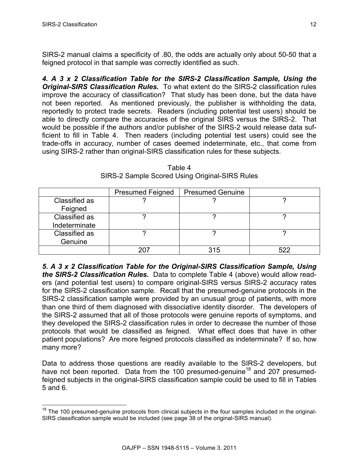SIRS-2 manual claims a specificity of .80, the odds are actually only about 50-50 that a feigned protocol in that sample was correctly identified as such.

*4. A 3 x 2 Classification Table for the SIRS-2 Classification Sample, Using the Original-SIRS Classification Rules.* To what extent do the SIRS-2 classification rules improve the accuracy of classification? That study has been done, but the data have not been reported. As mentioned previously, the publisher is withholding the data, reportedly to protect trade secrets. Readers (including potential test users) should be able to directly compare the accuracies of the original SIRS versus the SIRS-2. That would be possible if the authors and/or publisher of the SIRS-2 would release data sufficient to fill in Table 4. Then readers (including potential test users) could see the trade-offs in accuracy, number of cases deemed indeterminate, etc., that come from using SIRS-2 rather than original-SIRS classification rules for these subjects.

|               | <b>Presumed Feigned</b> | <b>Presumed Genuine</b> |     |
|---------------|-------------------------|-------------------------|-----|
| Classified as |                         |                         |     |
| Feigned       |                         |                         |     |
| Classified as |                         |                         |     |
| Indeterminate |                         |                         |     |
| Classified as |                         |                         |     |
| Genuine       |                         |                         |     |
|               | ∍∩י                     | 315                     | 522 |

Table 4 SIRS-2 Sample Scored Using Original-SIRS Rules

*5. A 3 x 2 Classification Table for the Original-SIRS Classification Sample, Using the SIRS-2 Classification Rules.* Data to complete Table 4 (above) would allow readers (and potential test users) to compare original-SIRS versus SIRS-2 accuracy rates for the SIRS-2 classification sample. Recall that the presumed-genuine protocols in the SIRS-2 classification sample were provided by an unusual group of patients, with more than one third of them diagnosed with dissociative identity disorder. The developers of the SIRS-2 assumed that all of those protocols were genuine reports of symptoms, and they developed the SIRS-2 classification rules in order to decrease the number of those protocols that would be classified as feigned. What effect does that have in other patient populations? Are more feigned protocols classified as indeterminate? If so, how many more?

Data to address those questions are readily available to the SIRS-2 developers, but have not been reported. Data from the 100 presumed-genuine<sup>18</sup> and 207 presumedfeigned subjects in the original-SIRS classification sample could be used to fill in Tables 5 and 6.

 $18$  The 100 presumed-genuine protocols from clinical subjects in the four samples included in the original-SIRS classification sample would be included (see page 38 of the original-SIRS manual).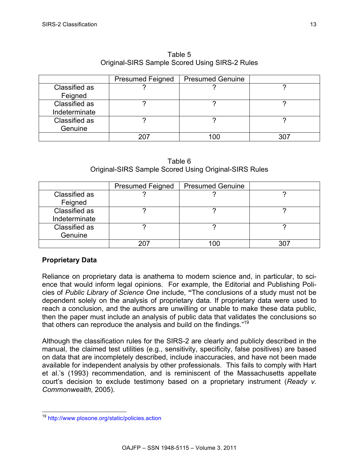|               | <b>Presumed Feigned</b> | <b>Presumed Genuine</b> |  |
|---------------|-------------------------|-------------------------|--|
| Classified as |                         |                         |  |
| Feigned       |                         |                         |  |
| Classified as |                         |                         |  |
| Indeterminate |                         |                         |  |
| Classified as |                         |                         |  |
| Genuine       |                         |                         |  |
|               |                         | 0C                      |  |

Table 5 Original-SIRS Sample Scored Using SIRS-2 Rules

|  | Table 6 |                                                       |
|--|---------|-------------------------------------------------------|
|  |         | Original-SIRS Sample Scored Using Original-SIRS Rules |

|               | <b>Presumed Feigned</b> | <b>Presumed Genuine</b> |  |
|---------------|-------------------------|-------------------------|--|
| Classified as |                         |                         |  |
| Feigned       |                         |                         |  |
| Classified as |                         |                         |  |
| Indeterminate |                         |                         |  |
| Classified as |                         |                         |  |
| Genuine       |                         |                         |  |
|               | 207                     |                         |  |

# **Proprietary Data**

Reliance on proprietary data is anathema to modern science and, in particular, to science that would inform legal opinions. For example, the Editorial and Publishing Policies of *Public Library of Science One* include, **"**The conclusions of a study must not be dependent solely on the analysis of proprietary data. If proprietary data were used to reach a conclusion, and the authors are unwilling or unable to make these data public, then the paper must include an analysis of public data that validates the conclusions so that others can reproduce the analysis and build on the findings."<sup>19</sup>

Although the classification rules for the SIRS-2 are clearly and publicly described in the manual, the claimed test utilities (e.g., sensitivity, specificity, false positives) are based on data that are incompletely described, include inaccuracies, and have not been made available for independent analysis by other professionals. This fails to comply with Hart et al.'s (1993) recommendation, and is reminiscent of the Massachusetts appellate court's decision to exclude testimony based on a proprietary instrument (*Ready v. Commonwealth,* 2005).

 <sup>19</sup> http://www.plosone.org/static/policies.action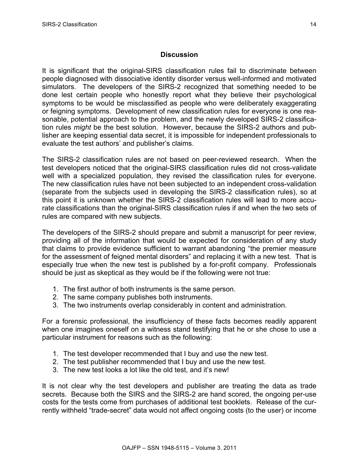# **Discussion**

It is significant that the original-SIRS classification rules fail to discriminate between people diagnosed with dissociative identity disorder versus well-informed and motivated simulators. The developers of the SIRS-2 recognized that something needed to be done lest certain people who honestly report what they believe their psychological symptoms to be would be misclassified as people who were deliberately exaggerating or feigning symptoms. Development of new classification rules for everyone is one reasonable, potential approach to the problem, and the newly developed SIRS-2 classification rules *might* be the best solution. However, because the SIRS-2 authors and publisher are keeping essential data secret, it is impossible for independent professionals to evaluate the test authors' and publisher's claims.

The SIRS-2 classification rules are not based on peer-reviewed research. When the test developers noticed that the original-SIRS classification rules did not cross-validate well with a specialized population, they revised the classification rules for everyone. The new classification rules have not been subjected to an independent cross-validation (separate from the subjects used in developing the SIRS-2 classification rules), so at this point it is unknown whether the SIRS-2 classification rules will lead to more accurate classifications than the original-SIRS classification rules if and when the two sets of rules are compared with new subjects.

The developers of the SIRS-2 should prepare and submit a manuscript for peer review, providing all of the information that would be expected for consideration of any study that claims to provide evidence sufficient to warrant abandoning "the premier measure for the assessment of feigned mental disorders" and replacing it with a new test. That is especially true when the new test is published by a for-profit company. Professionals should be just as skeptical as they would be if the following were not true:

- 1. The first author of both instruments is the same person.
- 2. The same company publishes both instruments.
- 3. The two instruments overlap considerably in content and administration.

For a forensic professional, the insufficiency of these facts becomes readily apparent when one imagines oneself on a witness stand testifying that he or she chose to use a particular instrument for reasons such as the following:

- 1. The test developer recommended that I buy and use the new test.
- 2. The test publisher recommended that I buy and use the new test.
- 3. The new test looks a lot like the old test, and it's new!

It is not clear why the test developers and publisher are treating the data as trade secrets. Because both the SIRS and the SIRS-2 are hand scored, the ongoing per-use costs for the tests come from purchases of additional test booklets. Release of the currently withheld "trade-secret" data would not affect ongoing costs (to the user) or income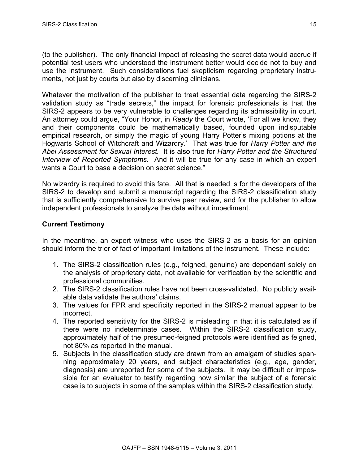(to the publisher). The only financial impact of releasing the secret data would accrue if potential test users who understood the instrument better would decide not to buy and use the instrument. Such considerations fuel skepticism regarding proprietary instruments, not just by courts but also by discerning clinicians.

Whatever the motivation of the publisher to treat essential data regarding the SIRS-2 validation study as "trade secrets," the impact for forensic professionals is that the SIRS-2 appears to be very vulnerable to challenges regarding its admissibility in court. An attorney could argue, "Your Honor, in *Ready* the Court wrote, 'For all we know, they and their components could be mathematically based, founded upon indisputable empirical research, or simply the magic of young Harry Potter's mixing potions at the Hogwarts School of Witchcraft and Wizardry.' That was true for *Harry Potter and the Abel Assessment for Sexual Interest.* It is also true for *Harry Potter and the Structured Interview of Reported Symptoms.* And it will be true for any case in which an expert wants a Court to base a decision on secret science."

No wizardry is required to avoid this fate. All that is needed is for the developers of the SIRS-2 to develop and submit a manuscript regarding the SIRS-2 classification study that is sufficiently comprehensive to survive peer review, and for the publisher to allow independent professionals to analyze the data without impediment.

# **Current Testimony**

In the meantime, an expert witness who uses the SIRS-2 as a basis for an opinion should inform the trier of fact of important limitations of the instrument. These include:

- 1. The SIRS-2 classification rules (e.g., feigned, genuine) are dependant solely on the analysis of proprietary data, not available for verification by the scientific and professional communities.
- 2. The SIRS-2 classification rules have not been cross-validated. No publicly available data validate the authors' claims.
- 3. The values for FPR and specificity reported in the SIRS-2 manual appear to be incorrect.
- 4. The reported sensitivity for the SIRS-2 is misleading in that it is calculated as if there were no indeterminate cases. Within the SIRS-2 classification study, approximately half of the presumed-feigned protocols were identified as feigned, not 80% as reported in the manual.
- 5. Subjects in the classification study are drawn from an amalgam of studies spanning approximately 20 years, and subject characteristics (e.g., age, gender, diagnosis) are unreported for some of the subjects. It may be difficult or impossible for an evaluator to testify regarding how similar the subject of a forensic case is to subjects in some of the samples within the SIRS-2 classification study.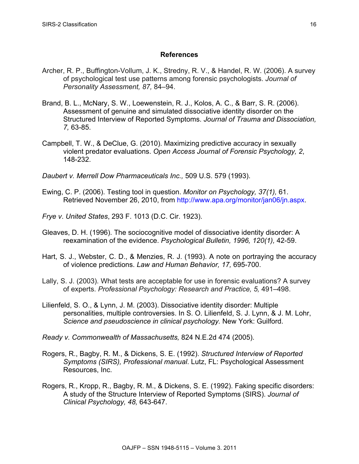## **References**

- Archer, R. P., Buffington-Vollum, J. K., Stredny, R. V., & Handel, R. W. (2006). A survey of psychological test use patterns among forensic psychologists. *Journal of Personality Assessment, 87,* 84–94.
- Brand, B. L., McNary, S. W., Loewenstein, R. J., Kolos, A. C., & Barr, S. R. (2006). Assessment of genuine and simulated dissociative identity disorder on the Structured Interview of Reported Symptoms. *Journal of Trauma and Dissociation, 7,* 63-85.
- Campbell, T. W., & DeClue, G. (2010). Maximizing predictive accuracy in sexually violent predator evaluations. *Open Access Journal of Forensic Psychology, 2*, 148-232.
- *Daubert v. Merrell Dow Pharmaceuticals Inc.,* 509 U.S. 579 (1993).
- Ewing, C. P. (2006). Testing tool in question. *Monitor on Psychology, 37(1),* 61. Retrieved November 26, 2010, from http://www.apa.org/monitor/jan06/jn.aspx.
- *Frye v*. *United States*, 293 F. 1013 (D.C. Cir. 1923).
- Gleaves, D. H. (1996). The sociocognitive model of dissociative identity disorder: A reexamination of the evidence. *Psychological Bulletin, 1996, 120(1),* 42-59.
- Hart, S. J., Webster, C. D., & Menzies, R. J. (1993). A note on portraying the accuracy of violence predictions. *Law and Human Behavior, 17,* 695-700.
- Lally, S. J. (2003). What tests are acceptable for use in forensic evaluations? A survey of experts. *Professional Psychology: Research and Practice, 5,* 491–498.
- Lilienfeld, S. O., & Lynn, J. M. (2003). Dissociative identity disorder: Multiple personalities, multiple controversies. In S. O. Lilienfeld, S. J. Lynn, & J. M. Lohr, *Science and pseudoscience in clinical psychology.* New York: Guilford.

*Ready v. Commonwealth of Massachusetts,* 824 N.E.2d 474 (2005).

- Rogers, R., Bagby, R. M., & Dickens, S. E. (1992). *Structured Interview of Reported Symptoms (SIRS), Professional manual*. Lutz, FL: Psychological Assessment Resources, Inc.
- Rogers, R., Kropp, R., Bagby, R. M., & Dickens, S. E. (1992). Faking specific disorders: A study of the Structure Interview of Reported Symptoms (SIRS). *Journal of Clinical Psychology, 48,* 643-647.